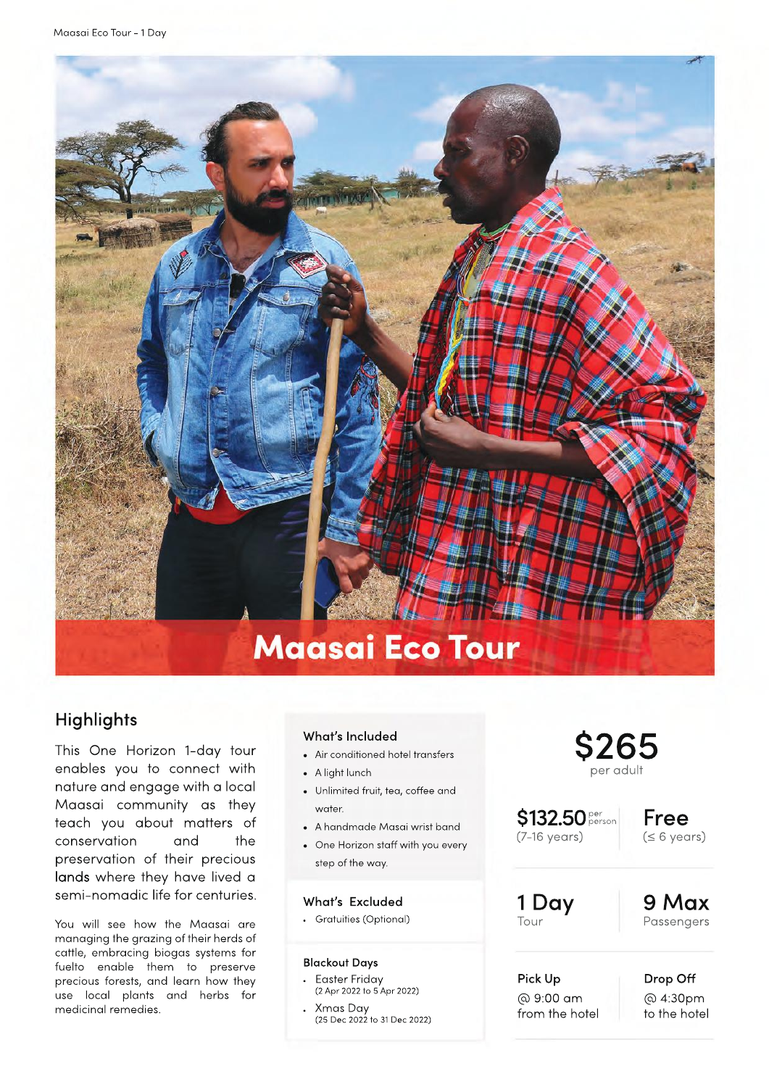

# **Highlights**

This One Horizon 1-day tour enables you to connect with nature and engage with a local Maasai community as they teach you about matters of conservation and the preservation of their precious lands where they have lived a semi-nomadic life for centuries.

You will see how the Maasai are managing the grazing of their herds of cattle, embracing biogas systems for fuelto enable them to preserve precious forests, and learn how they use local plants and herbs for medicinal remedies.

### What's Included

- . Air conditioned hotel transfers
- . A light lunch
- Unlimited fruit, tea, coffee and water.
- . A handmade Masai wrist band
- . One Horizon staĪ with you every step of the way.

### What's Excluded

.Gratuities (Optional)

#### Blackout Days

- . Easter Friday (2 Apr 2022 to 5 Apr 2022)
- . Xmas Day (25 Dec 2022 to 31 Dec 2022)

# \$265 per adult

\$132.50 pers (7-16 years)

Free (≤ 6 years)

### 1 Day Tour

9 Max Passengers

Pick Up @ 9:00 am from the hotel Drop Off @ 4:30pm to the hotel